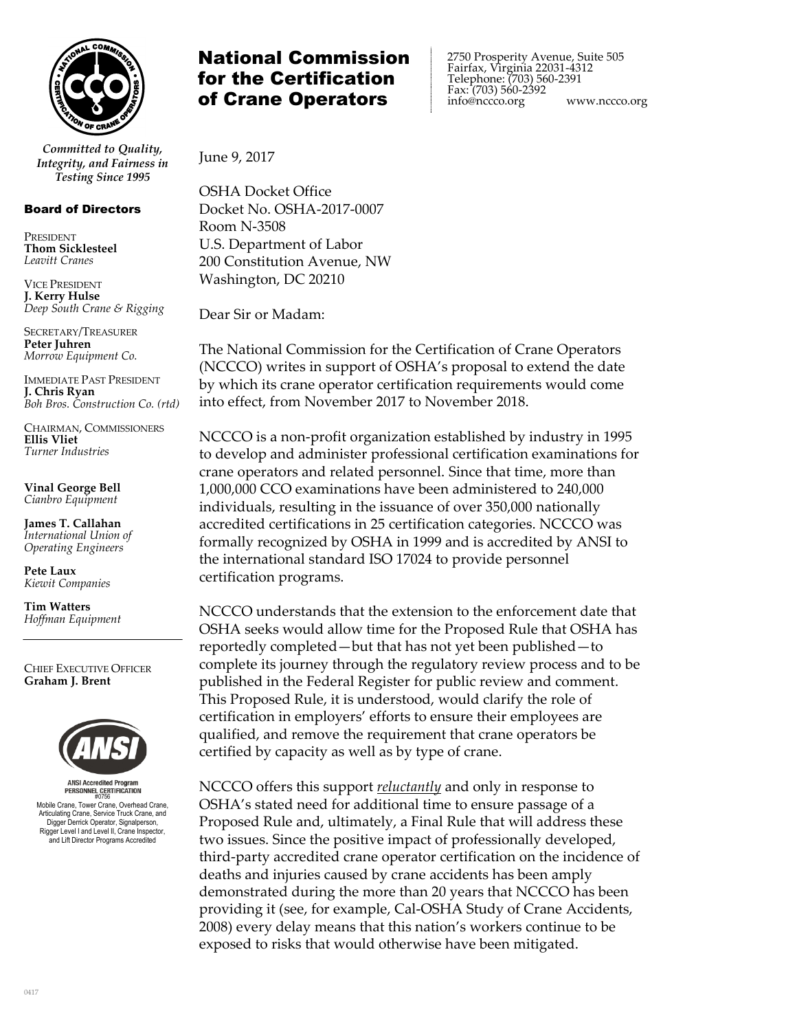

*Committed to Quality, Integrity, and Fairness in Testing Since 1995*

## Board of Directors

PRESIDENT **Thom Sicklesteel** *Leavitt Cranes*

VICE PRESIDENT **J. Kerry Hulse** *Deep South Crane & Rigging*

SECRETARY/TREASURER **Peter Juhren** *Morrow Equipment Co.*

IMMEDIATE PAST PRESIDENT **J. Chris Ryan** *Boh Bros. Construction Co. (rtd)*

CHAIRMAN, COMMISSIONERS **Ellis Vliet** *Turner Industries*

**Vinal George Bell** *Cianbro Equipment*

**James T. Callahan** *International Union of Operating Engineers*

**Pete Laux** *Kiewit Companies*

**Tim Watters** *Hoffman Equipment*

CHIEF EXECUTIVE OFFICER **Graham J. Brent**



**ANSI Accredited Progr** #0756 Mobile Crane, Tower Crane, Overhead Crane, Articulating Crane, Service Truck Crane, and Digger Derrick Operator, Signalperson, Rigger Level I and Level II, Crane Inspector, and Lift Director Programs Accredited

## National Commission for the Certification of Crane Operators

 2750 Prosperity Avenue, Suite 505 Fairfax, Virginia 22031-4312 Telephone: (703) 560-2391 Fax: (703) 560-2392<br>info@nccco.org www.nccco.org

June 9, 2017

OSHA Docket Office Docket No. OSHA-2017-0007 Room N-3508 U.S. Department of Labor 200 Constitution Avenue, NW Washington, DC 20210

Dear Sir or Madam:

The National Commission for the Certification of Crane Operators (NCCCO) writes in support of OSHA's proposal to extend the date by which its crane operator certification requirements would come into effect, from November 2017 to November 2018.

NCCCO is a non-profit organization established by industry in 1995 to develop and administer professional certification examinations for crane operators and related personnel. Since that time, more than 1,000,000 CCO examinations have been administered to 240,000 individuals, resulting in the issuance of over 350,000 nationally accredited certifications in 25 certification categories. NCCCO was formally recognized by OSHA in 1999 and is accredited by ANSI to the international standard ISO 17024 to provide personnel certification programs.

NCCCO understands that the extension to the enforcement date that OSHA seeks would allow time for the Proposed Rule that OSHA has reportedly completed—but that has not yet been published—to complete its journey through the regulatory review process and to be published in the Federal Register for public review and comment. This Proposed Rule, it is understood, would clarify the role of certification in employers' efforts to ensure their employees are qualified, and remove the requirement that crane operators be certified by capacity as well as by type of crane.

NCCCO offers this support *reluctantly* and only in response to OSHA's stated need for additional time to ensure passage of a Proposed Rule and, ultimately, a Final Rule that will address these two issues. Since the positive impact of professionally developed, third-party accredited crane operator certification on the incidence of deaths and injuries caused by crane accidents has been amply demonstrated during the more than 20 years that NCCCO has been providing it (see, for example, Cal-OSHA Study of Crane Accidents, 2008) every delay means that this nation's workers continue to be exposed to risks that would otherwise have been mitigated.